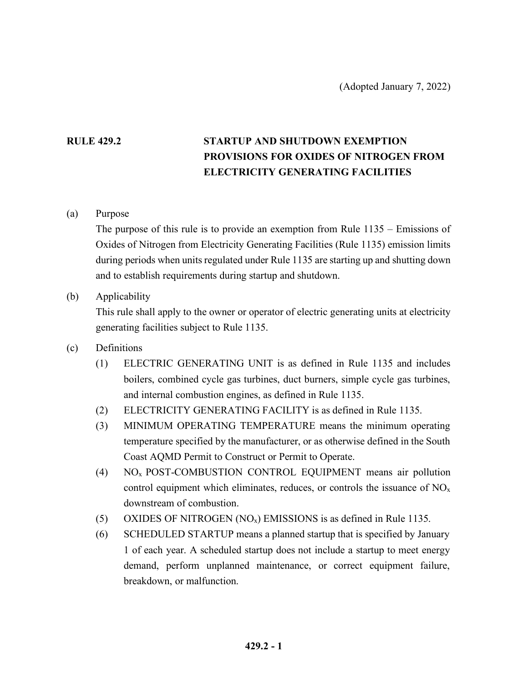## **RULE 429.2 STARTUP AND SHUTDOWN EXEMPTION PROVISIONS FOR OXIDES OF NITROGEN FROM ELECTRICITY GENERATING FACILITIES**

(a) Purpose

The purpose of this rule is to provide an exemption from Rule 1135 – Emissions of Oxides of Nitrogen from Electricity Generating Facilities (Rule 1135) emission limits during periods when units regulated under Rule 1135 are starting up and shutting down and to establish requirements during startup and shutdown.

(b) Applicability

This rule shall apply to the owner or operator of electric generating units at electricity generating facilities subject to Rule 1135.

- (c) Definitions
	- (1) ELECTRIC GENERATING UNIT is as defined in Rule 1135 and includes boilers, combined cycle gas turbines, duct burners, simple cycle gas turbines, and internal combustion engines, as defined in Rule 1135.
	- (2) ELECTRICITY GENERATING FACILITY is as defined in Rule 1135.
	- (3) MINIMUM OPERATING TEMPERATURE means the minimum operating temperature specified by the manufacturer, or as otherwise defined in the South Coast AQMD Permit to Construct or Permit to Operate.
	- (4) NOx POST-COMBUSTION CONTROL EQUIPMENT means air pollution control equipment which eliminates, reduces, or controls the issuance of  $NO<sub>x</sub>$ downstream of combustion.
	- (5) OXIDES OF NITROGEN  $(NO<sub>x</sub>)$  EMISSIONS is as defined in Rule 1135.
	- (6) SCHEDULED STARTUP means a planned startup that is specified by January 1 of each year. A scheduled startup does not include a startup to meet energy demand, perform unplanned maintenance, or correct equipment failure, breakdown, or malfunction.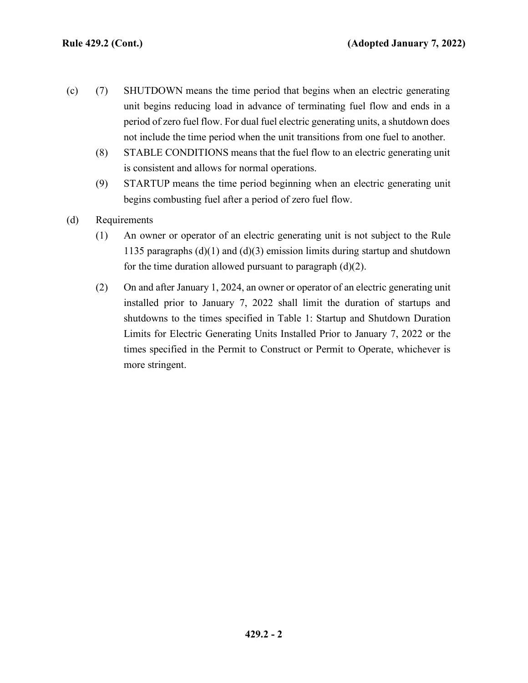- (c) (7) SHUTDOWN means the time period that begins when an electric generating unit begins reducing load in advance of terminating fuel flow and ends in a period of zero fuel flow. For dual fuel electric generating units, a shutdown does not include the time period when the unit transitions from one fuel to another.
	- (8) STABLE CONDITIONS means that the fuel flow to an electric generating unit is consistent and allows for normal operations.
	- (9) STARTUP means the time period beginning when an electric generating unit begins combusting fuel after a period of zero fuel flow.
- (d) Requirements
	- (1) An owner or operator of an electric generating unit is not subject to the Rule 1135 paragraphs (d)(1) and (d)(3) emission limits during startup and shutdown for the time duration allowed pursuant to paragraph  $(d)(2)$ .
	- (2) On and after January 1, 2024, an owner or operator of an electric generating unit installed prior to January 7, 2022 shall limit the duration of startups and shutdowns to the times specified in Table 1: Startup and Shutdown Duration Limits for Electric Generating Units Installed Prior to January 7, 2022 or the times specified in the Permit to Construct or Permit to Operate, whichever is more stringent.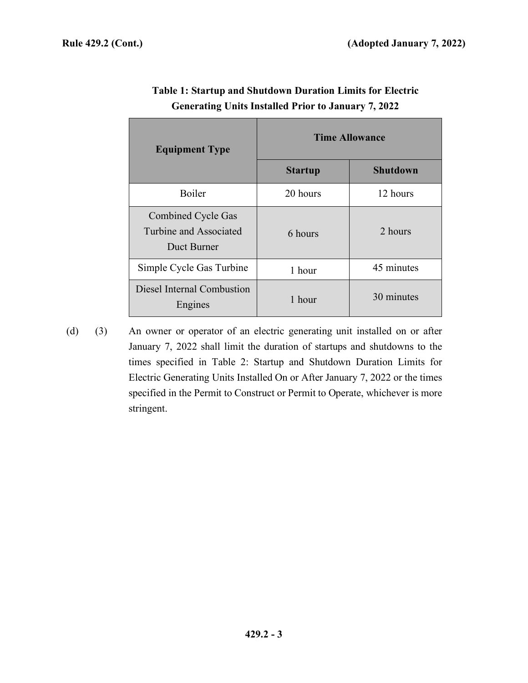| <b>Equipment Type</b>                                              | <b>Time Allowance</b> |                 |
|--------------------------------------------------------------------|-----------------------|-----------------|
|                                                                    | <b>Startup</b>        | <b>Shutdown</b> |
| <b>Boiler</b>                                                      | 20 hours              | 12 hours        |
| <b>Combined Cycle Gas</b><br>Turbine and Associated<br>Duct Burner | 6 hours               | 2 hours         |
| Simple Cycle Gas Turbine                                           | 1 hour                | 45 minutes      |
| Diesel Internal Combustion<br>Engines                              | 1 hour                | 30 minutes      |

## **Table 1: Startup and Shutdown Duration Limits for Electric Generating Units Installed Prior to January 7, 2022**

(d) (3) An owner or operator of an electric generating unit installed on or after January 7, 2022 shall limit the duration of startups and shutdowns to the times specified in Table 2: Startup and Shutdown Duration Limits for Electric Generating Units Installed On or After January 7, 2022 or the times specified in the Permit to Construct or Permit to Operate, whichever is more stringent.

**429.2 - 3**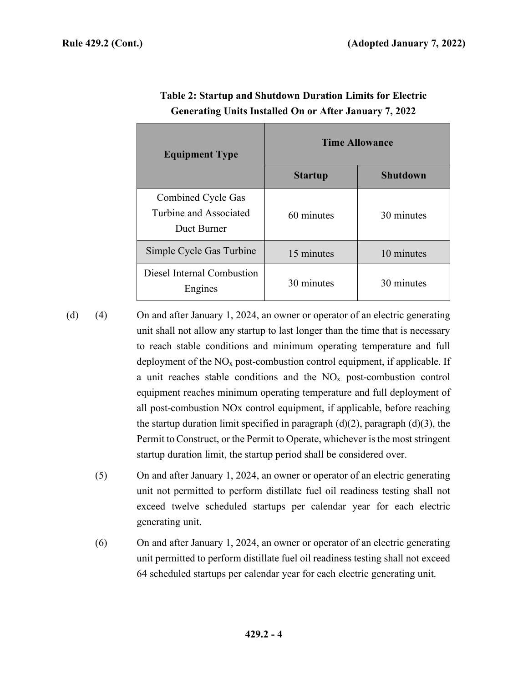| <b>Equipment Type</b>                                       | <b>Time Allowance</b> |                 |
|-------------------------------------------------------------|-----------------------|-----------------|
|                                                             | <b>Startup</b>        | <b>Shutdown</b> |
| Combined Cycle Gas<br>Turbine and Associated<br>Duct Burner | 60 minutes            | 30 minutes      |
| Simple Cycle Gas Turbine                                    | 15 minutes            | 10 minutes      |
| Diesel Internal Combustion<br>Engines                       | 30 minutes            | 30 minutes      |

| Table 2: Startup and Shutdown Duration Limits for Electric    |  |
|---------------------------------------------------------------|--|
| <b>Generating Units Installed On or After January 7, 2022</b> |  |

(d) (4) On and after January 1, 2024, an owner or operator of an electric generating unit shall not allow any startup to last longer than the time that is necessary to reach stable conditions and minimum operating temperature and full deployment of the  $NO<sub>x</sub>$  post-combustion control equipment, if applicable. If a unit reaches stable conditions and the  $NO<sub>x</sub>$  post-combustion control equipment reaches minimum operating temperature and full deployment of all post-combustion NOx control equipment, if applicable, before reaching the startup duration limit specified in paragraph  $(d)(2)$ , paragraph  $(d)(3)$ , the Permit to Construct, or the Permit to Operate, whichever is the most stringent startup duration limit, the startup period shall be considered over.

- (5) On and after January 1, 2024, an owner or operator of an electric generating unit not permitted to perform distillate fuel oil readiness testing shall not exceed twelve scheduled startups per calendar year for each electric generating unit.
- (6) On and after January 1, 2024, an owner or operator of an electric generating unit permitted to perform distillate fuel oil readiness testing shall not exceed 64 scheduled startups per calendar year for each electric generating unit.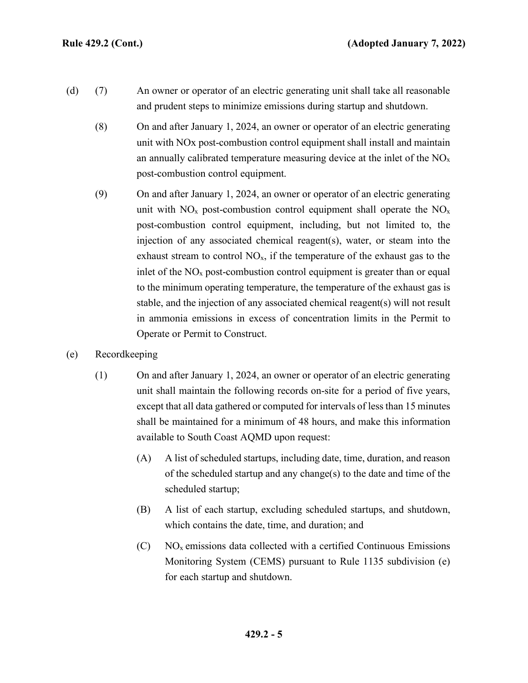- (d) (7) An owner or operator of an electric generating unit shall take all reasonable and prudent steps to minimize emissions during startup and shutdown.
	- (8) On and after January 1, 2024, an owner or operator of an electric generating unit with NOx post-combustion control equipment shall install and maintain an annually calibrated temperature measuring device at the inlet of the  $NO<sub>x</sub>$ post-combustion control equipment.
	- (9) On and after January 1, 2024, an owner or operator of an electric generating unit with  $NO<sub>x</sub>$  post-combustion control equipment shall operate the  $NO<sub>x</sub>$ post-combustion control equipment, including, but not limited to, the injection of any associated chemical reagent(s), water, or steam into the exhaust stream to control  $NO<sub>x</sub>$ , if the temperature of the exhaust gas to the inlet of the  $NO<sub>x</sub>$  post-combustion control equipment is greater than or equal to the minimum operating temperature, the temperature of the exhaust gas is stable, and the injection of any associated chemical reagent(s) will not result in ammonia emissions in excess of concentration limits in the Permit to Operate or Permit to Construct.
- (e) Recordkeeping
	- (1) On and after January 1, 2024, an owner or operator of an electric generating unit shall maintain the following records on-site for a period of five years, except that all data gathered or computed for intervals of less than 15 minutes shall be maintained for a minimum of 48 hours, and make this information available to South Coast AQMD upon request:
		- (A) A list of scheduled startups, including date, time, duration, and reason of the scheduled startup and any change(s) to the date and time of the scheduled startup;
		- (B) A list of each startup, excluding scheduled startups, and shutdown, which contains the date, time, and duration; and
		- $(C)$  NO<sub>x</sub> emissions data collected with a certified Continuous Emissions Monitoring System (CEMS) pursuant to Rule 1135 subdivision (e) for each startup and shutdown.